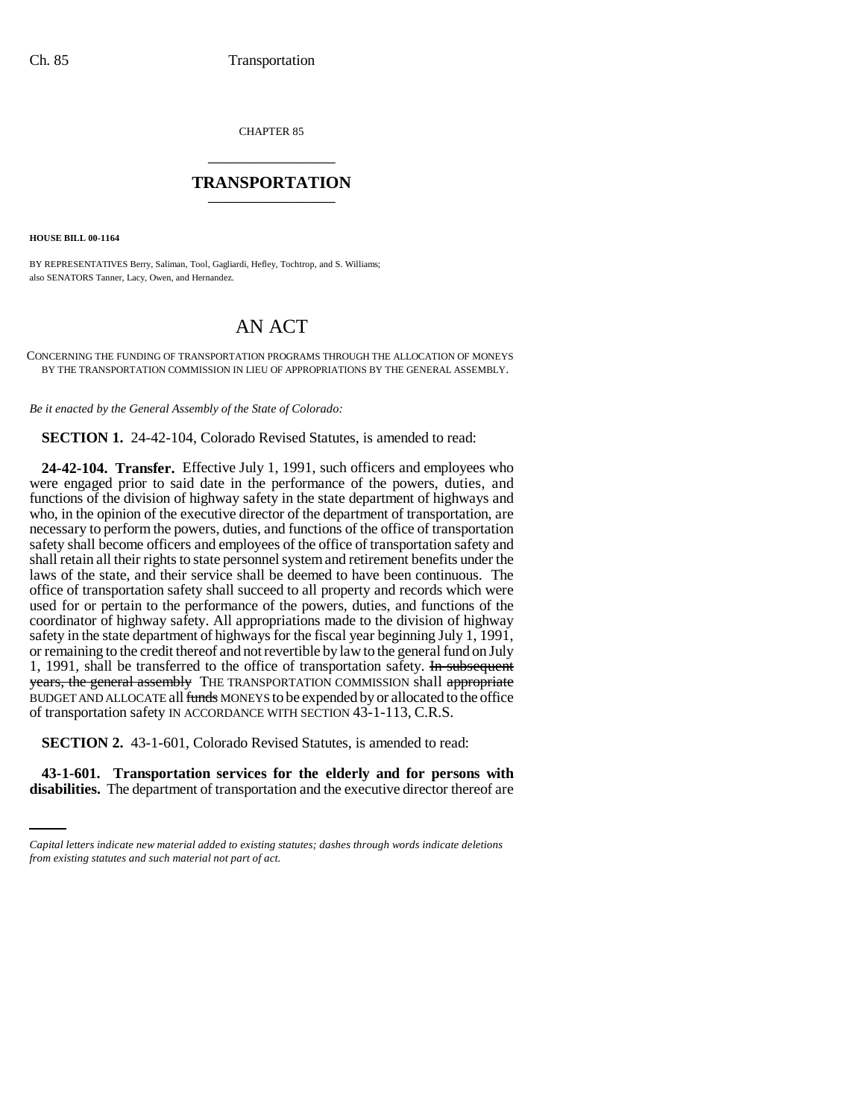CHAPTER 85 \_\_\_\_\_\_\_\_\_\_\_\_\_\_\_

## **TRANSPORTATION** \_\_\_\_\_\_\_\_\_\_\_\_\_\_\_

**HOUSE BILL 00-1164** 

BY REPRESENTATIVES Berry, Saliman, Tool, Gagliardi, Hefley, Tochtrop, and S. Williams; also SENATORS Tanner, Lacy, Owen, and Hernandez.

## AN ACT

CONCERNING THE FUNDING OF TRANSPORTATION PROGRAMS THROUGH THE ALLOCATION OF MONEYS BY THE TRANSPORTATION COMMISSION IN LIEU OF APPROPRIATIONS BY THE GENERAL ASSEMBLY.

*Be it enacted by the General Assembly of the State of Colorado:*

**SECTION 1.** 24-42-104, Colorado Revised Statutes, is amended to read:

**24-42-104. Transfer.** Effective July 1, 1991, such officers and employees who were engaged prior to said date in the performance of the powers, duties, and functions of the division of highway safety in the state department of highways and who, in the opinion of the executive director of the department of transportation, are necessary to perform the powers, duties, and functions of the office of transportation safety shall become officers and employees of the office of transportation safety and shall retain all their rights to state personnel system and retirement benefits under the laws of the state, and their service shall be deemed to have been continuous. The office of transportation safety shall succeed to all property and records which were used for or pertain to the performance of the powers, duties, and functions of the coordinator of highway safety. All appropriations made to the division of highway safety in the state department of highways for the fiscal year beginning July 1, 1991, or remaining to the credit thereof and not revertible by law to the general fund on July 1, 1991, shall be transferred to the office of transportation safety. In subsequent years, the general assembly THE TRANSPORTATION COMMISSION shall appropriate BUDGET AND ALLOCATE all funds MONEYS to be expended by or allocated to the office of transportation safety IN ACCORDANCE WITH SECTION 43-1-113, C.R.S.

 **SECTION 2.** 43-1-601, Colorado Revised Statutes, is amended to read:

**43-1-601. Transportation services for the elderly and for persons with disabilities.** The department of transportation and the executive director thereof are

*Capital letters indicate new material added to existing statutes; dashes through words indicate deletions from existing statutes and such material not part of act.*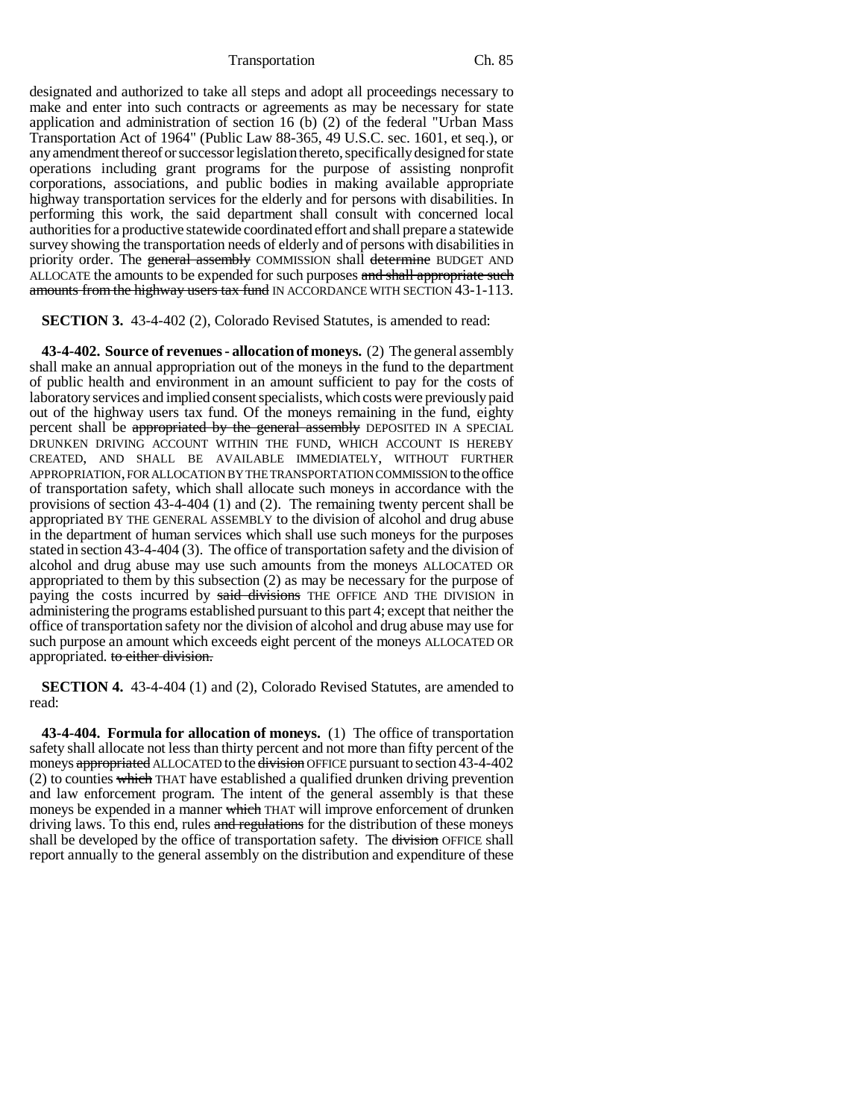Transportation Ch. 85

designated and authorized to take all steps and adopt all proceedings necessary to make and enter into such contracts or agreements as may be necessary for state application and administration of section 16 (b) (2) of the federal "Urban Mass Transportation Act of 1964" (Public Law 88-365, 49 U.S.C. sec. 1601, et seq.), or any amendment thereof or successor legislation thereto, specifically designed for state operations including grant programs for the purpose of assisting nonprofit corporations, associations, and public bodies in making available appropriate highway transportation services for the elderly and for persons with disabilities. In performing this work, the said department shall consult with concerned local authorities for a productive statewide coordinated effort and shall prepare a statewide survey showing the transportation needs of elderly and of persons with disabilities in priority order. The general assembly COMMISSION shall determine BUDGET AND ALLOCATE the amounts to be expended for such purposes and shall appropriate such amounts from the highway users tax fund IN ACCORDANCE WITH SECTION 43-1-113.

## **SECTION 3.** 43-4-402 (2), Colorado Revised Statutes, is amended to read:

**43-4-402. Source of revenues - allocation of moneys.** (2) The general assembly shall make an annual appropriation out of the moneys in the fund to the department of public health and environment in an amount sufficient to pay for the costs of laboratory services and implied consent specialists, which costs were previously paid out of the highway users tax fund. Of the moneys remaining in the fund, eighty percent shall be appropriated by the general assembly DEPOSITED IN A SPECIAL DRUNKEN DRIVING ACCOUNT WITHIN THE FUND, WHICH ACCOUNT IS HEREBY CREATED, AND SHALL BE AVAILABLE IMMEDIATELY, WITHOUT FURTHER APPROPRIATION, FOR ALLOCATION BY THE TRANSPORTATION COMMISSION to the office of transportation safety, which shall allocate such moneys in accordance with the provisions of section 43-4-404 (1) and (2). The remaining twenty percent shall be appropriated BY THE GENERAL ASSEMBLY to the division of alcohol and drug abuse in the department of human services which shall use such moneys for the purposes stated in section 43-4-404 (3). The office of transportation safety and the division of alcohol and drug abuse may use such amounts from the moneys ALLOCATED OR appropriated to them by this subsection (2) as may be necessary for the purpose of paying the costs incurred by said divisions THE OFFICE AND THE DIVISION in administering the programs established pursuant to this part 4; except that neither the office of transportation safety nor the division of alcohol and drug abuse may use for such purpose an amount which exceeds eight percent of the moneys ALLOCATED OR appropriated. to either division.

**SECTION 4.** 43-4-404 (1) and (2), Colorado Revised Statutes, are amended to read:

**43-4-404. Formula for allocation of moneys.** (1) The office of transportation safety shall allocate not less than thirty percent and not more than fifty percent of the moneys appropriated ALLOCATED to the division OFFICE pursuant to section 43-4-402  $(2)$  to counties which THAT have established a qualified drunken driving prevention and law enforcement program. The intent of the general assembly is that these moneys be expended in a manner which THAT will improve enforcement of drunken driving laws. To this end, rules and regulations for the distribution of these moneys shall be developed by the office of transportation safety. The division OFFICE shall report annually to the general assembly on the distribution and expenditure of these